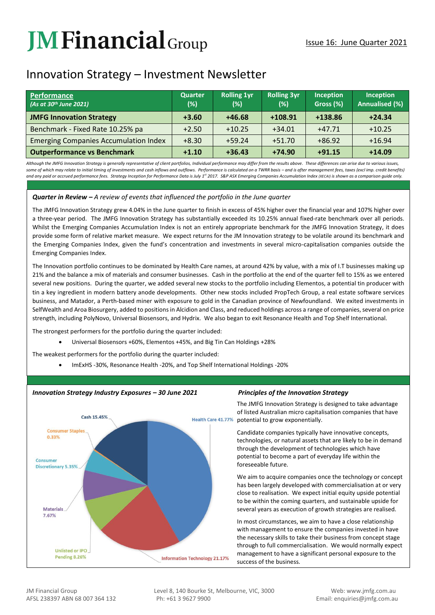# **JM Financial** Group

# Innovation Strategy – Investment Newsletter

| <b>Performance</b><br>(As at 30 <sup>th</sup> June 2021) | Quarter<br>(%) | <b>Rolling 1yr</b><br>(%) | <b>Rolling 3yr</b><br>(%) | <b>Inception</b><br>Gross (%) | Inception<br><b>Annualised (%)</b> |
|----------------------------------------------------------|----------------|---------------------------|---------------------------|-------------------------------|------------------------------------|
| <b>JMFG Innovation Strategy</b>                          | $+3.60$        | $+46.68$                  | $+108.91$                 | +138.86                       | $+24.34$                           |
| Benchmark - Fixed Rate 10.25% pa                         | $+2.50$        | $+10.25$                  | $+34.01$                  | $+47.71$                      | $+10.25$                           |
| <b>Emerging Companies Accumulation Index</b>             | $+8.30$        | $+59.24$                  | $+51.70$                  | $+86.92$                      | $+16.94$                           |
| <b>Outperformance vs Benchmark</b>                       | $+1.10$        | $+36.43$                  | $+74.90$                  | $+91.15$                      | $+14.09$                           |

Although the JMFG Innovation Strategy is generally representative of client portfolios, Individual performance may differ from the results above. These differences can arise due to various issues, some of which may relate to initial timing of investments and cash inflows and outflows. Performance is calculated on a TWRR basis - and is after management fees, taxes (excl imp. credit benefits) and any paid or accrued performance fees. Strategy Inception for Performance Data is July 1<sup>st</sup> 2017. S&P ASX Emerging Companies Accumulation Index (XECAI) is shown as a comparison quide only.

# *Quarter in Review – A review of events that influenced the portfolio in the June quarter*

The JMFG Innovation Strategy grew 4.04% in the June quarter to finish in excess of 45% higher over the financial year and 107% higher over a three-year period. The JMFG Innovation Strategy has substantially exceeded its 10.25% annual fixed-rate benchmark over all periods. Whilst the Emerging Companies Accumulation Index is not an entirely appropriate benchmark for the JMFG Innovation Strategy, it does provide some form of relative market measure. We expect returns for the JM Innovation strategy to be volatile around its benchmark and the Emerging Companies Index, given the fund's concentration and investments in several micro-capitalisation companies outside the Emerging Companies Index.

The Innovation portfolio continues to be dominated by Health Care names, at around 42% by value, with a mix of I.T businesses making up 21% and the balance a mix of materials and consumer businesses. Cash in the portfolio at the end of the quarter fell to 15% as we entered several new positions. During the quarter, we added several new stocks to the portfolio including Elementos, a potential tin producer with tin a key ingredient in modern battery anode developments. Other new stocks included PropTech Group, a real estate software services business, and Matador, a Perth-based miner with exposure to gold in the Canadian province of Newfoundland. We exited investments in SelfWealth and Aroa Biosurgery, added to positions in Alcidion and Class, and reduced holdings across a range of companies, several on price strength, including PolyNovo, Universal Biosensors, and Hydrix. We also began to exit Resonance Health and Top Shelf International.

The strongest performers for the portfolio during the quarter included:

• Universal Biosensors +60%, Elementos +45%, and Big Tin Can Holdings +28%

The weakest performers for the portfolio during the quarter included:

• ImExHS -30%, Resonance Health -20%, and Top Shelf International Holdings -20%



# *Innovation Strategy Industry Exposures – 30 June 2021 Principles of the Innovation Strategy*

The JMFG Innovation Strategy is designed to take advantage of listed Australian micro capitalisation companies that have potential to grow exponentially.

Candidate companies typically have innovative concepts, technologies, or natural assets that are likely to be in demand through the development of technologies which have potential to become a part of everyday life within the foreseeable future.

We aim to acquire companies once the technology or concept has been largely developed with commercialisation at or very close to realisation. We expect initial equity upside potential to be within the coming quarters, and sustainable upside for several years as execution of growth strategies are realised.

In most circumstances, we aim to have a close relationship with management to ensure the companies invested in have the necessary skills to take their business from concept stage through to full commercialisation. We would normally expect management to have a significant personal exposure to the success of the business.

JM Financial Group Level 8, 140 Bourke St, Melbourne, VIC, 3000 Web: www.jmfg.com.au AFSL 238397 ABN 68 007 364 132 Ph: +61 3 9627 9900 Email: enquiries@jmfg.com.au